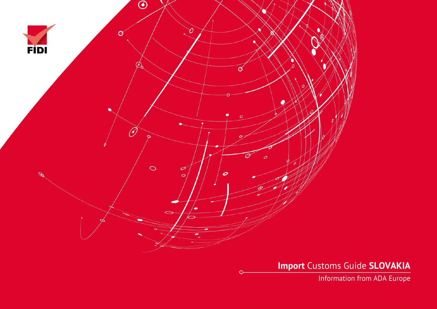

**Import** Customs Guide **SLOVAKIA**

Information from ADA Europe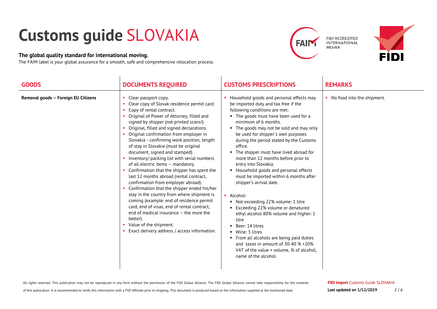## **Customs guide** SLOVAKIA

## **The global quality standard for international moving.**

The FAIM label is your global assurance for a smooth, safe and comprehensive relocation process.

 $\mathbf{I}$ 



 $\overline{\phantom{a}}$ 



| <b>GOODS</b>                        | <b>DOCUMENTS REQUIRED</b>                                                                                                                                                                                                                                                                                                                                                                                                                                                                                                                                                                                                                                                                                                                                                                                                                                                                                                                                              | <b>CUSTOMS PRESCRIPTIONS</b>                                                                                                                                                                                                                                                                                                                                                                                                                                                                                                                                                                                                                                                                                                                                                                                                                                                                     | <b>REMARKS</b>               |
|-------------------------------------|------------------------------------------------------------------------------------------------------------------------------------------------------------------------------------------------------------------------------------------------------------------------------------------------------------------------------------------------------------------------------------------------------------------------------------------------------------------------------------------------------------------------------------------------------------------------------------------------------------------------------------------------------------------------------------------------------------------------------------------------------------------------------------------------------------------------------------------------------------------------------------------------------------------------------------------------------------------------|--------------------------------------------------------------------------------------------------------------------------------------------------------------------------------------------------------------------------------------------------------------------------------------------------------------------------------------------------------------------------------------------------------------------------------------------------------------------------------------------------------------------------------------------------------------------------------------------------------------------------------------------------------------------------------------------------------------------------------------------------------------------------------------------------------------------------------------------------------------------------------------------------|------------------------------|
| Removal goods - Foreign EU Citizens | Clear passport copy.<br>×.<br>Clear copy of Slovak residence permit card.<br>٠<br>Copy of rental contract.<br>٠<br>Original of Power of Attorney, filled and<br>signed by shipper (not printed scans!)<br>Original, filled and signed declarations.<br>Original confirmation from employer in<br>Slovakia - confirming work position, length<br>of stay in Slovakia (must be original<br>document, signed and stamped).<br>Inventory/ packing list with serial numbers<br>of all electric items - mandatory.<br>Confirmation that the shipper has spent the<br>last 12 months abroad (rental contract,<br>confirmation from employer abroad).<br>Confirmation that the shipper ended his/her<br>stay in the country from where shipment is<br>coming (example: end of residence permit<br>card, end of visas, end of rental contract,<br>end of medical insurance - the more the<br>better).<br>Value of the shipment.<br>Exact delivery address / access information. | Household goods and personal effects may<br>be imported duty and tax free if the<br>following conditions are met:<br>• The goods must have been used for a<br>minimum of 6 months.<br>• The goods may not be sold and may only<br>be used for shipper's own purposes<br>during the period stated by the Customs<br>office.<br>The shipper must have lived abroad for<br>more than 12 months before prior to<br>entry into Slovakia.<br>• Household goods and personal effects<br>must be imported within 6 months after<br>shipper's arrival date.<br>• Alcohol:<br>■ Not exceeding 22% volume: 1 litre<br>■ Exceeding 22% volume or denatured<br>ethyl alcohol 80% volume and higher: 1<br>litre<br>Beer: 14 litres<br>Wine: 3 litres<br>• From all alcohols are being paid duties<br>and taxes in amount of $30-40$ % +20%<br>VAT of the value + volume, % of alcohol,<br>name of the alcohol. | • No food into the shipment. |

 $\blacksquare$ 

All rights reserved. This publication may not be reproduced in any form without the permission of the FIDI Global Alliance. The FIDI Global Alliance cannot take responsibility for the contents

of this publication. It is recommended to verify this information with a FIDI Affiliate prior to shipping. This document is produced based on the information supplied at the mentioned date.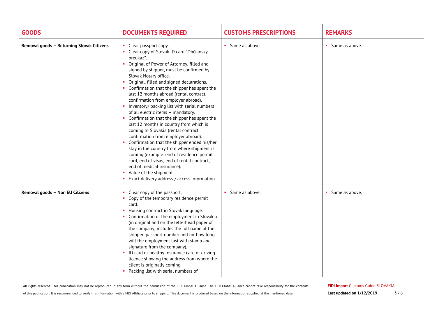| <b>GOODS</b>                              | <b>DOCUMENTS REQUIRED</b>                                                                                                                                                                                                                                                                                                                                                                                                                                                                                                                                                                                                                                                                                                                                                                                                                                                                                                                                   | <b>CUSTOMS PRESCRIPTIONS</b> | <b>REMARKS</b>   |
|-------------------------------------------|-------------------------------------------------------------------------------------------------------------------------------------------------------------------------------------------------------------------------------------------------------------------------------------------------------------------------------------------------------------------------------------------------------------------------------------------------------------------------------------------------------------------------------------------------------------------------------------------------------------------------------------------------------------------------------------------------------------------------------------------------------------------------------------------------------------------------------------------------------------------------------------------------------------------------------------------------------------|------------------------------|------------------|
| Removal goods - Returning Slovak Citizens | • Clear passport copy.<br>• Clear copy of Slovak ID card "Občiansky<br>preukaz".<br>• Original of Power of Attorney, filled and<br>signed by shipper, must be confirmed by<br>Slovak Notary office.<br>• Original, filled and signed declarations.<br>• Confirmation that the shipper has spent the<br>last 12 months abroad (rental contract,<br>confirmation from employer abroad).<br>• Inventory/ packing list with serial numbers<br>of all electric items - mandatory.<br>• Confirmation that the shipper has spent the<br>last 12 months in country from which is<br>coming to Slovakia (rental contract,<br>confirmation from employer abroad).<br>• Confirmation that the shipper ended his/her<br>stay in the country from where shipment is<br>coming (example: end of residence permit<br>card, end of visas, end of rental contract,<br>end of medical insurance).<br>• Value of the shipment.<br>Exact delivery address / access information. | • Same as above.             | • Same as above. |
| Removal goods - Non EU Citizens           | • Clear copy of the passport.<br>• Copy of the temporary residence permit<br>card.<br>• Housing contract in Slovak language.<br>• Confirmation of the employment in Slovakia<br>(in original and on the letterhead paper of<br>the company, includes the full name of the<br>shipper, passport number and for how long<br>will the employment last with stamp and<br>signature from the company).<br>ID card or healthy insurance card or driving<br>licence showing the address from where the<br>client is originally coming.<br>Packing list with serial numbers of                                                                                                                                                                                                                                                                                                                                                                                      | • Same as above.             | • Same as above. |

All rights reserved. This publication may not be reproduced in any form without the permission of the FIDI Global Alliance. The FIDI Global Alliance cannot take responsibility for the contents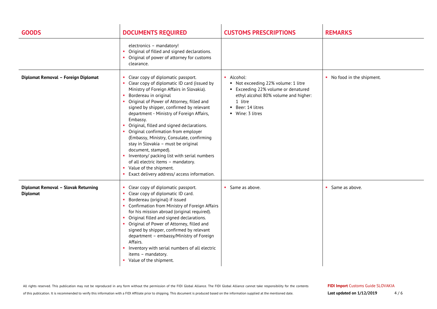| <b>GOODS</b>                                           | <b>DOCUMENTS REQUIRED</b>                                                                                                                                                                                                                                                                                                                                                                                                                                                                                                                                                                                                                                                         | <b>CUSTOMS PRESCRIPTIONS</b>                                                                                                                                                       | <b>REMARKS</b>             |
|--------------------------------------------------------|-----------------------------------------------------------------------------------------------------------------------------------------------------------------------------------------------------------------------------------------------------------------------------------------------------------------------------------------------------------------------------------------------------------------------------------------------------------------------------------------------------------------------------------------------------------------------------------------------------------------------------------------------------------------------------------|------------------------------------------------------------------------------------------------------------------------------------------------------------------------------------|----------------------------|
|                                                        | electronics - mandatory!<br>Original of filled and signed declarations.<br>Original of power of attorney for customs<br>clearance.                                                                                                                                                                                                                                                                                                                                                                                                                                                                                                                                                |                                                                                                                                                                                    |                            |
| Diplomat Removal - Foreign Diplomat                    | Clear copy of diplomatic passport.<br>Clear copy of diplomatic ID card (issued by<br>Ministry of Foreign Affairs in Slovakia).<br>Bordereau in original<br>• Original of Power of Attorney, filled and<br>signed by shipper, confirmed by relevant<br>department - Ministry of Foreign Affairs,<br>Embassy.<br>Original, filled and signed declarations.<br>• Original confirmation from employer<br>(Embassy, Ministry, Consulate, confirming<br>stay in Slovakia - must be original<br>document, stamped).<br>• Inventory/ packing list with serial numbers<br>of all electric items - mandatory.<br>Value of the shipment.<br>×.<br>Exact delivery address/access information. | · Alcohol:<br>Not exceeding 22% volume: 1 litre<br>■ Exceeding 22% volume or denatured<br>ethyl alcohol 80% volume and higher:<br>1 litre<br>• Beer: 14 litres<br>• Wine: 3 litres | • No food in the shipment. |
| Diplomat Removal - Slovak Returning<br><b>Diplomat</b> | Clear copy of diplomatic passport.<br>Clear copy of diplomatic ID card.<br>Bordereau (original) if issued<br>• Confirmation from Ministry of Foreign Affairs<br>for his mission abroad (original required).<br>Original filled and signed declarations.<br>• Original of Power of Attorney, filled and<br>signed by shipper, confirmed by relevant<br>department - embassy/Ministry of Foreign<br>Affairs.<br>• Inventory with serial numbers of all electric<br>items - mandatory.<br>• Value of the shipment.                                                                                                                                                                   | • Same as above.                                                                                                                                                                   | • Same as above.           |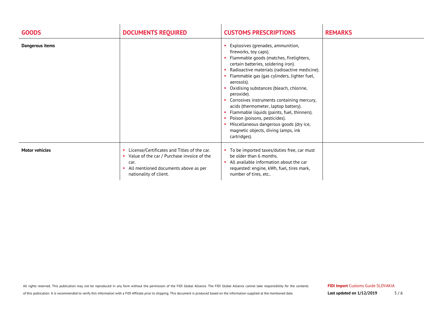| <b>GOODS</b>          | <b>DOCUMENTS REQUIRED</b>                                                                                                                                           | <b>CUSTOMS PRESCRIPTIONS</b>                                                                                                                                                                                                                                                                                                                                                                                                                                                                                                                                                                | <b>REMARKS</b> |
|-----------------------|---------------------------------------------------------------------------------------------------------------------------------------------------------------------|---------------------------------------------------------------------------------------------------------------------------------------------------------------------------------------------------------------------------------------------------------------------------------------------------------------------------------------------------------------------------------------------------------------------------------------------------------------------------------------------------------------------------------------------------------------------------------------------|----------------|
| Dangerous items       |                                                                                                                                                                     | Explosives (grenades, ammunition,<br>fireworks, toy caps).<br>Flammable goods (matches, firelighters,<br>certain batteries, soldering iron).<br>Radioactive materials (radioactive medicine).<br>Flammable gas (gas cylinders, lighter fuel,<br>aerosols).<br>Oxidising substances (bleach, chlorine,<br>peroxide).<br>Corrosives instruments containing mercury,<br>acids (thermometer, laptop battery).<br>Flammable liquids (paints, fuel, thinners).<br>Poison (poisons, pesticides).<br>Miscellaneous dangerous goods (dry ice,<br>magnetic objects, diving lamps, ink<br>cartridges). |                |
| <b>Motor vehicles</b> | License/Certificates and Titles of the car.<br>Value of the car / Purchase invoice of the<br>car.<br>All mentioned documents above as per<br>nationality of client. | To be imported taxes/duties free, car must<br>be older than 6 months.<br>All available information about the car<br>requested: engine, kWh, fuel, tires mark,<br>number of tires, etc                                                                                                                                                                                                                                                                                                                                                                                                       |                |